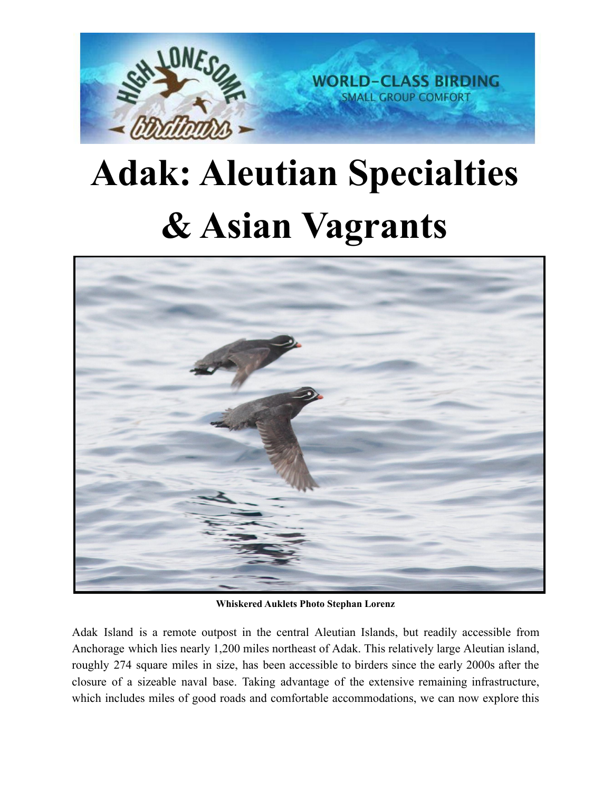

## **Adak: Aleutian Specialties & Asian Vagrants**



**Whiskered Auklets Photo Stephan Lorenz**

Adak Island is a remote outpost in the central Aleutian Islands, but readily accessible from Anchorage which lies nearly 1,200 miles northeast of Adak. This relatively large Aleutian island, roughly 274 square miles in size, has been accessible to birders since the early 2000s after the closure of a sizeable naval base. Taking advantage of the extensive remaining infrastructure, which includes miles of good roads and comfortable accommodations, we can now explore this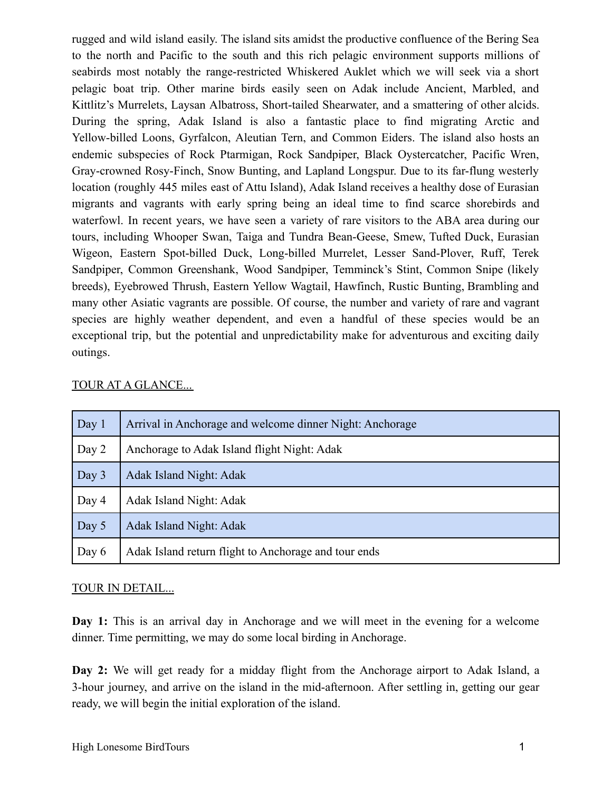rugged and wild island easily. The island sits amidst the productive confluence of the Bering Sea to the north and Pacific to the south and this rich pelagic environment supports millions of seabirds most notably the range-restricted Whiskered Auklet which we will seek via a short pelagic boat trip. Other marine birds easily seen on Adak include Ancient, Marbled, and Kittlitz's Murrelets, Laysan Albatross, Short-tailed Shearwater, and a smattering of other alcids. During the spring, Adak Island is also a fantastic place to find migrating Arctic and Yellow-billed Loons, Gyrfalcon, Aleutian Tern, and Common Eiders. The island also hosts an endemic subspecies of Rock Ptarmigan, Rock Sandpiper, Black Oystercatcher, Pacific Wren, Gray-crowned Rosy-Finch, Snow Bunting, and Lapland Longspur. Due to its far-flung westerly location (roughly 445 miles east of Attu Island), Adak Island receives a healthy dose of Eurasian migrants and vagrants with early spring being an ideal time to find scarce shorebirds and waterfowl. In recent years, we have seen a variety of rare visitors to the ABA area during our tours, including Whooper Swan, Taiga and Tundra Bean-Geese, Smew, Tufted Duck, Eurasian Wigeon, Eastern Spot-billed Duck, Long-billed Murrelet, Lesser Sand-Plover, Ruff, Terek Sandpiper, Common Greenshank, Wood Sandpiper, Temminck's Stint, Common Snipe (likely breeds), Eyebrowed Thrush, Eastern Yellow Wagtail, Hawfinch, Rustic Bunting, Brambling and many other Asiatic vagrants are possible. Of course, the number and variety of rare and vagrant species are highly weather dependent, and even a handful of these species would be an exceptional trip, but the potential and unpredictability make for adventurous and exciting daily outings.

| Day 1 | Arrival in Anchorage and welcome dinner Night: Anchorage |
|-------|----------------------------------------------------------|
| Day 2 | Anchorage to Adak Island flight Night: Adak              |
| Day 3 | Adak Island Night: Adak                                  |
| Day 4 | Adak Island Night: Adak                                  |
| Day 5 | Adak Island Night: Adak                                  |
| Day 6 | Adak Island return flight to Anchorage and tour ends     |

## TOUR AT A GLANCE...

## TOUR IN DETAIL...

**Day 1:** This is an arrival day in Anchorage and we will meet in the evening for a welcome dinner. Time permitting, we may do some local birding in Anchorage.

**Day 2:** We will get ready for a midday flight from the Anchorage airport to Adak Island, a 3-hour journey, and arrive on the island in the mid-afternoon. After settling in, getting our gear ready, we will begin the initial exploration of the island.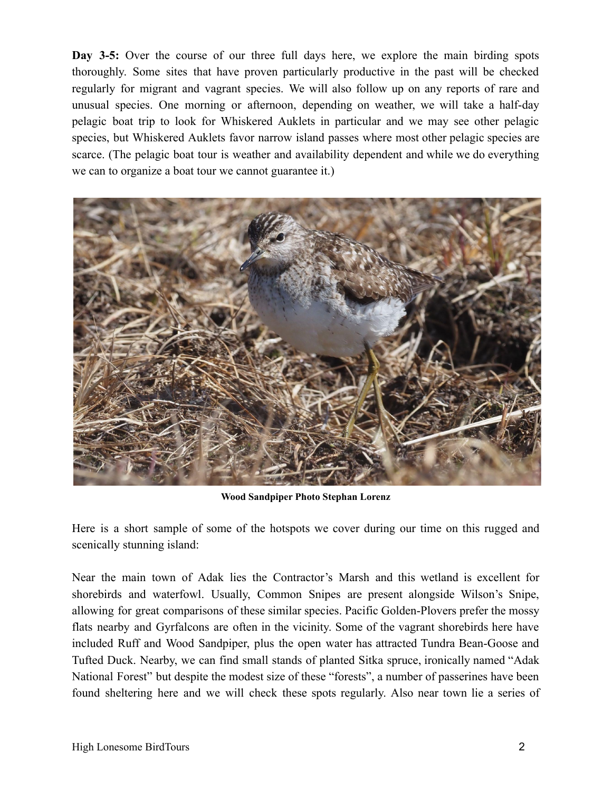**Day 3-5:** Over the course of our three full days here, we explore the main birding spots thoroughly. Some sites that have proven particularly productive in the past will be checked regularly for migrant and vagrant species. We will also follow up on any reports of rare and unusual species. One morning or afternoon, depending on weather, we will take a half-day pelagic boat trip to look for Whiskered Auklets in particular and we may see other pelagic species, but Whiskered Auklets favor narrow island passes where most other pelagic species are scarce. (The pelagic boat tour is weather and availability dependent and while we do everything we can to organize a boat tour we cannot guarantee it.)



**Wood Sandpiper Photo Stephan Lorenz**

Here is a short sample of some of the hotspots we cover during our time on this rugged and scenically stunning island:

Near the main town of Adak lies the Contractor's Marsh and this wetland is excellent for shorebirds and waterfowl. Usually, Common Snipes are present alongside Wilson's Snipe, allowing for great comparisons of these similar species. Pacific Golden-Plovers prefer the mossy flats nearby and Gyrfalcons are often in the vicinity. Some of the vagrant shorebirds here have included Ruff and Wood Sandpiper, plus the open water has attracted Tundra Bean-Goose and Tufted Duck. Nearby, we can find small stands of planted Sitka spruce, ironically named "Adak National Forest" but despite the modest size of these "forests", a number of passerines have been found sheltering here and we will check these spots regularly. Also near town lie a series of